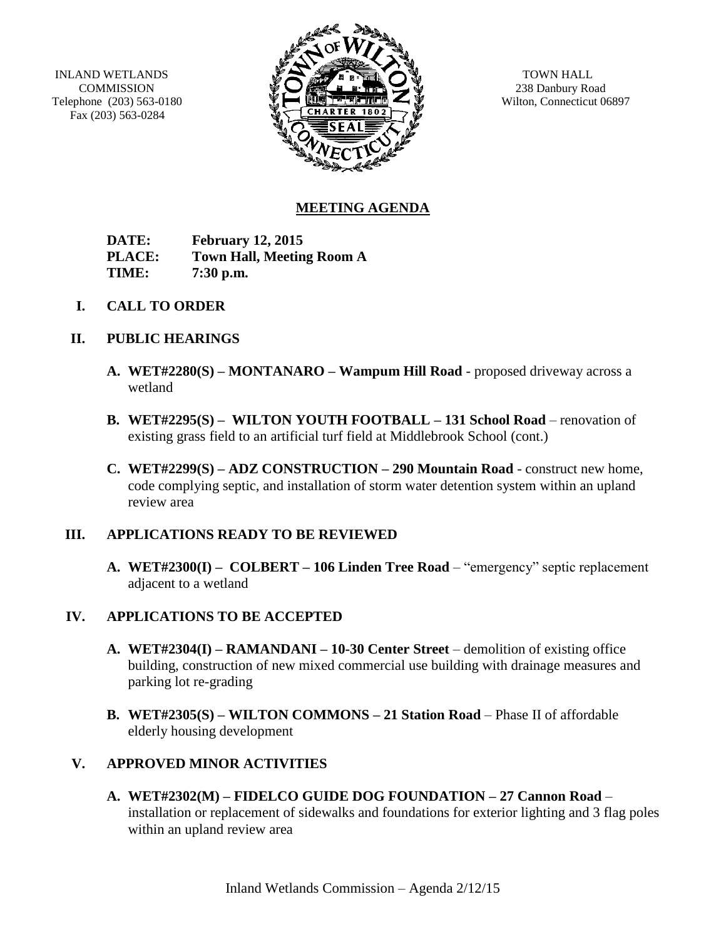INLAND WETLANDS **COMMISSION** Telephone (203) 563-0180 Fax (203) 563-0284



TOWN HALL 238 Danbury Road Wilton, Connecticut 06897

# **MEETING AGENDA**

**DATE: February 12, 2015 PLACE: Town Hall, Meeting Room A TIME: 7:30 p.m.**

**I. CALL TO ORDER**

## **II. PUBLIC HEARINGS**

- **A. WET#2280(S) – MONTANARO – Wampum Hill Road** proposed driveway across a wetland
- **B. WET#2295(S) – WILTON YOUTH FOOTBALL – 131 School Road** renovation of existing grass field to an artificial turf field at Middlebrook School (cont.)
- **C. WET#2299(S) – ADZ CONSTRUCTION – 290 Mountain Road** construct new home, code complying septic, and installation of storm water detention system within an upland review area

## **III. APPLICATIONS READY TO BE REVIEWED**

**A. WET#2300(I) – COLBERT – 106 Linden Tree Road** – "emergency" septic replacement adjacent to a wetland

## **IV. APPLICATIONS TO BE ACCEPTED**

- **A. WET#2304(I) – RAMANDANI – 10-30 Center Street** demolition of existing office building, construction of new mixed commercial use building with drainage measures and parking lot re-grading
- **B. WET#2305(S) – WILTON COMMONS – 21 Station Road** Phase II of affordable elderly housing development

## **V. APPROVED MINOR ACTIVITIES**

**A. WET#2302(M) – FIDELCO GUIDE DOG FOUNDATION – 27 Cannon Road** – installation or replacement of sidewalks and foundations for exterior lighting and 3 flag poles within an upland review area